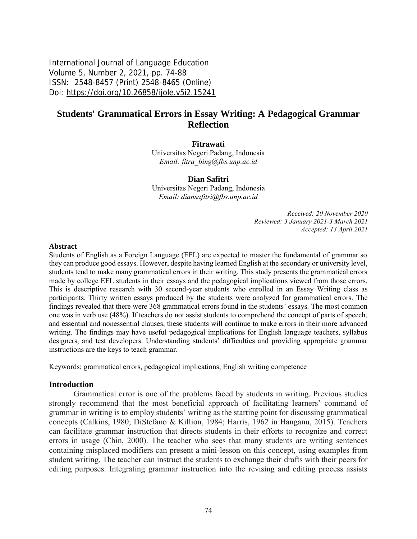International Journal of Language Education Volume 5, Number 2, 2021, pp. 74-88 ISSN: 2548-8457 (Print) 2548-8465 (Online) Doi: <https://doi.org/10.26858/ijole.v5i2.15241>

# **Students' Grammatical Errors in Essay Writing: A Pedagogical Grammar Reflection**

**Fitrawati**

Universitas Negeri Padang, Indonesia *Email: [fitra\\_bing@fbs.unp.ac.id](mailto:fitra_bing@fbs.unp.ac.id)*

#### **Dian Safitri**

Universitas Negeri Padang, Indonesia *Email: [diansafitri@fbs.unp.ac.id](mailto:diansafitri@fbs.unp.ac.id)*

> *Received: 20 November 2020 Reviewed: 3 January 2021-3 March 2021 Accepted: 13 April 2021*

#### **Abstract**

Students of English as a Foreign Language (EFL) are expected to master the fundamental of grammar so they can produce good essays. However, despite having learned English at the secondary or university level, students tend to make many grammatical errors in their writing. This study presents the grammatical errors made by college EFL students in their essays and the pedagogical implications viewed from those errors. This is descriptive research with 30 second-year students who enrolled in an Essay Writing class as participants. Thirty written essays produced by the students were analyzed for grammatical errors. The findings revealed that there were 368 grammatical errors found in the students' essays. The most common one was in verb use (48%). If teachers do not assist students to comprehend the concept of parts of speech, and essential and nonessential clauses, these students will continue to make errors in their more advanced writing. The findings may have useful pedagogical implications for English language teachers, syllabus designers, and test developers. Understanding students' difficulties and providing appropriate grammar instructions are the keys to teach grammar.

Keywords: grammatical errors, pedagogical implications, English writing competence

#### **Introduction**

Grammatical error is one of the problems faced by students in writing. Previous studies strongly recommend that the most beneficial approach of facilitating learners' command of grammar in writing is to employ students' writing as the starting point for discussing grammatical concepts (Calkins, 1980; DiStefano & Killion, 1984; Harris, 1962 in Hanganu, 2015). Teachers can facilitate grammar instruction that directs students in their efforts to recognize and correct errors in usage (Chin, 2000). The teacher who sees that many students are writing sentences containing misplaced modifiers can present a mini-lesson on this concept, using examples from student writing. The teacher can instruct the students to exchange their drafts with their peers for editing purposes. Integrating grammar instruction into the revising and editing process assists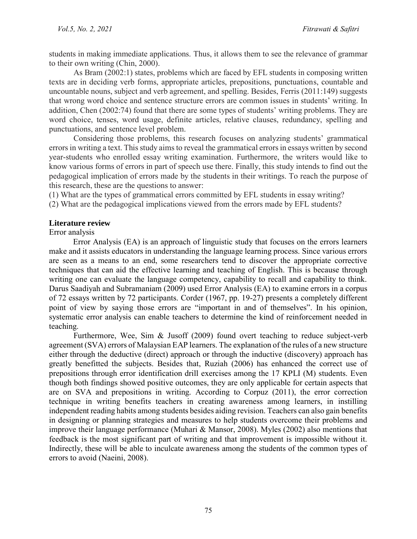students in making immediate applications. Thus, it allows them to see the relevance of grammar to their own writing (Chin, 2000).

As Bram (2002:1) states, problems which are faced by EFL students in composing written texts are in deciding verb forms, appropriate articles, prepositions, punctuations, countable and uncountable nouns, subject and verb agreement, and spelling. Besides, Ferris (2011:149) suggests that wrong word choice and sentence structure errors are common issues in students' writing. In addition, Chen (2002:74) found that there are some types of students' writing problems. They are word choice, tenses, word usage, definite articles, relative clauses, redundancy, spelling and punctuations, and sentence level problem.

Considering those problems, this research focuses on analyzing students' grammatical errors in writing a text. This study aims to reveal the grammatical errors in essays written by second year-students who enrolled essay writing examination. Furthermore, the writers would like to know various forms of errors in part of speech use there. Finally, this study intends to find out the pedagogical implication of errors made by the students in their writings. To reach the purpose of this research, these are the questions to answer:

(1) What are the types of grammatical errors committed by EFL students in essay writing?

(2) What are the pedagogical implications viewed from the errors made by EFL students?

#### **Literature review**

#### Error analysis

Error Analysis (EA) is an approach of linguistic study that focuses on the errors learners make and it assists educators in understanding the language learning process. Since various errors are seen as a means to an end, some researchers tend to discover the appropriate corrective techniques that can aid the effective learning and teaching of English. This is because through writing one can evaluate the language competency, capability to recall and capability to think. Darus Saadiyah and Subramaniam (2009) used Error Analysis (EA) to examine errors in a corpus of 72 essays written by 72 participants. Corder (1967, pp. 19-27) presents a completely different point of view by saying those errors are "important in and of themselves". In his opinion, systematic error analysis can enable teachers to determine the kind of reinforcement needed in teaching.

Furthermore, Wee, Sim & Jusoff (2009) found overt teaching to reduce subject-verb agreement (SVA) errors of Malaysian EAP learners. The explanation of the rules of a new structure either through the deductive (direct) approach or through the inductive (discovery) approach has greatly benefitted the subjects. Besides that, Ruziah (2006) has enhanced the correct use of prepositions through error identification drill exercises among the 17 KPLI (M) students. Even though both findings showed positive outcomes, they are only applicable for certain aspects that are on SVA and prepositions in writing. According to Corpuz (2011), the error correction technique in writing benefits teachers in creating awareness among learners, in instilling independent reading habits among students besides aiding revision. Teachers can also gain benefits in designing or planning strategies and measures to help students overcome their problems and improve their language performance (Muhari & Mansor, 2008). Myles (2002) also mentions that feedback is the most significant part of writing and that improvement is impossible without it. Indirectly, these will be able to inculcate awareness among the students of the common types of errors to avoid (Naeini, 2008).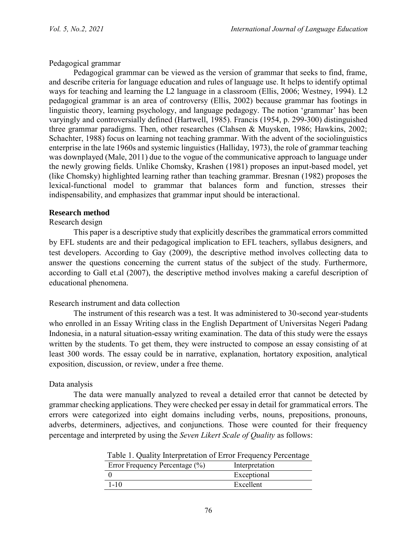### Pedagogical grammar

Pedagogical grammar can be viewed as the version of grammar that seeks to find, frame, and describe criteria for language education and rules of language use. It helps to identify optimal ways for teaching and learning the L2 language in a classroom (Ellis, 2006; Westney, 1994). L2 pedagogical grammar is an area of controversy (Ellis, 2002) because grammar has footings in linguistic theory, learning psychology, and language pedagogy. The notion 'grammar' has been varyingly and controversially defined (Hartwell, 1985). Francis (1954, p. 299-300) distinguished three grammar paradigms. Then, other researches (Clahsen & Muysken, 1986; Hawkins, 2002; Schachter, 1988) focus on learning not teaching grammar. With the advent of the sociolinguistics enterprise in the late 1960s and systemic linguistics (Halliday, 1973), the role of grammar teaching was downplayed (Male, 2011) due to the vogue of the communicative approach to language under the newly growing fields. Unlike Chomsky, Krashen (1981) proposes an input-based model, yet (like Chomsky) highlighted learning rather than teaching grammar. Bresnan (1982) proposes the lexical-functional model to grammar that balances form and function, stresses their indispensability, and emphasizes that grammar input should be interactional.

#### **Research method**

#### Research design

This paper is a descriptive study that explicitly describes the grammatical errors committed by EFL students are and their pedagogical implication to EFL teachers, syllabus designers, and test developers. According to Gay (2009), the descriptive method involves collecting data to answer the questions concerning the current status of the subject of the study. Furthermore, according to Gall et.al (2007), the descriptive method involves making a careful description of educational phenomena.

## Research instrument and data collection

The instrument of this research was a test. It was administered to 30-second year-students who enrolled in an Essay Writing class in the English Department of Universitas Negeri Padang Indonesia, in a natural situation-essay writing examination. The data of this study were the essays written by the students. To get them, they were instructed to compose an essay consisting of at least 300 words. The essay could be in narrative, explanation, hortatory exposition, analytical exposition, discussion, or review, under a free theme.

## Data analysis

The data were manually analyzed to reveal a detailed error that cannot be detected by grammar checking applications. They were checked per essay in detail for grammatical errors. The errors were categorized into eight domains including verbs, nouns, prepositions, pronouns, adverbs, determiners, adjectives, and conjunctions. Those were counted for their frequency percentage and interpreted by using the *Seven Likert Scale of Quality* as follows:

|  | Table 1. Quality Interpretation of Error Frequency Percentage |  |  |
|--|---------------------------------------------------------------|--|--|
|  |                                                               |  |  |

| Error Frequency Percentage (%) | Interpretation |  |
|--------------------------------|----------------|--|
|                                | Exceptional    |  |
| $1 - 10$                       | Excellent      |  |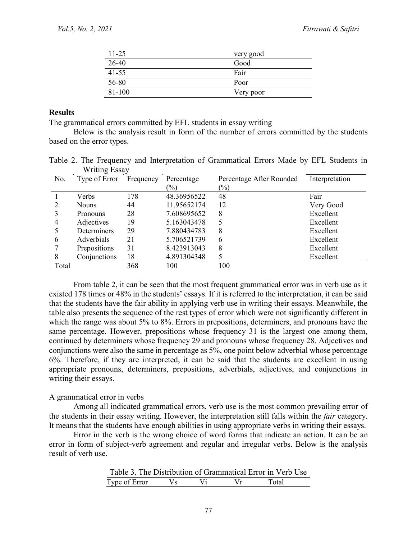| $11 - 25$ | very good |
|-----------|-----------|
| 26-40     | Good      |
| $41 - 55$ | Fair      |
| 56-80     | Poor      |
| 81-100    | Very poor |

#### **Results**

The grammatical errors committed by EFL students in essay writing

Below is the analysis result in form of the number of errors committed by the students based on the error types.

|  |               | Table 2. The Frequency and Interpretation of Grammatical Errors Made by EFL Students in |  |  |  |  |
|--|---------------|-----------------------------------------------------------------------------------------|--|--|--|--|
|  | Writing Essay |                                                                                         |  |  |  |  |

| No.   | Type of Error | Frequency | Percentage<br>$\frac{1}{2}$ | Percentage After Rounded<br>$\left(\frac{0}{0}\right)$ | Interpretation |
|-------|---------------|-----------|-----------------------------|--------------------------------------------------------|----------------|
|       | Verbs         | 178       | 48.36956522                 | 48                                                     | Fair           |
|       | <b>Nouns</b>  | 44        | 11.95652174                 | 12                                                     | Very Good      |
|       | Pronouns      | 28        | 7.608695652                 | 8                                                      | Excellent      |
| 4     | Adjectives    | 19        | 5.163043478                 | 5                                                      | Excellent      |
|       | Determiners   | 29        | 7.880434783                 | 8                                                      | Excellent      |
| 6     | Adverbials    | 21        | 5.706521739                 | 6                                                      | Excellent      |
|       | Prepositions  | 31        | 8.423913043                 | 8                                                      | Excellent      |
| 8     | Conjunctions  | 18        | 4.891304348                 |                                                        | Excellent      |
| Total |               | 368       | 100                         | 100                                                    |                |

From table 2, it can be seen that the most frequent grammatical error was in verb use as it existed 178 times or 48% in the students' essays. If it is referred to the interpretation, it can be said that the students have the fair ability in applying verb use in writing their essays. Meanwhile, the table also presents the sequence of the rest types of error which were not significantly different in which the range was about 5% to 8%. Errors in prepositions, determiners, and pronouns have the same percentage. However, prepositions whose frequency 31 is the largest one among them, continued by determiners whose frequency 29 and pronouns whose frequency 28. Adjectives and conjunctions were also the same in percentage as 5%, one point below adverbial whose percentage 6%. Therefore, if they are interpreted, it can be said that the students are excellent in using appropriate pronouns, determiners, prepositions, adverbials, adjectives, and conjunctions in writing their essays.

#### A grammatical error in verbs

Among all indicated grammatical errors, verb use is the most common prevailing error of the students in their essay writing. However, the interpretation still falls within the *fair* category. It means that the students have enough abilities in using appropriate verbs in writing their essays.

Error in the verb is the wrong choice of word forms that indicate an action. It can be an error in form of subject-verb agreement and regular and irregular verbs. Below is the analysis result of verb use.

|               |  | Table 3. The Distribution of Grammatical Error in Verb Use |       |  |
|---------------|--|------------------------------------------------------------|-------|--|
| Type of Error |  | $V_r$                                                      | Total |  |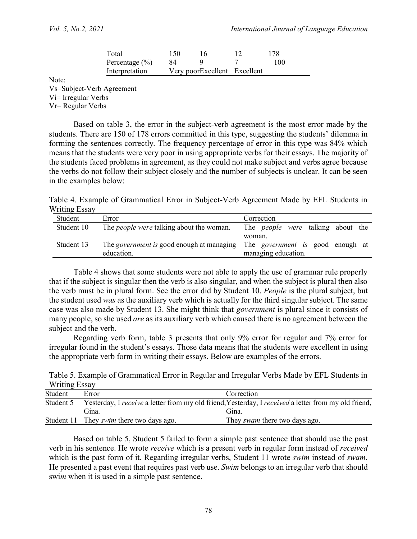| Total              | 150 | ۱6                           | 178 |
|--------------------|-----|------------------------------|-----|
| Percentage $(\% )$ | 84  |                              | 100 |
| Interpretation     |     | Very poorExcellent Excellent |     |

Note:

Vs=Subject-Verb Agreement Vi= Irregular Verbs Vr= Regular Verbs

Based on table 3, the error in the subject-verb agreement is the most error made by the students. There are 150 of 178 errors committed in this type, suggesting the students' dilemma in forming the sentences correctly. The frequency percentage of error in this type was 84% which means that the students were very poor in using appropriate verbs for their essays. The majority of the students faced problems in agreement, as they could not make subject and verbs agree because the verbs do not follow their subject closely and the number of subjects is unclear. It can be seen in the examples below:

Table 4. Example of Grammatical Error in Subject-Verb Agreement Made by EFL Students in Writing Essay

| Student    | Error                                            | Correction                               |
|------------|--------------------------------------------------|------------------------------------------|
| Student 10 | The <i>people were</i> talking about the woman.  | The <i>people were</i> talking about the |
|            |                                                  | woman.                                   |
| Student 13 | The <i>government</i> is good enough at managing | The <i>government</i> is good enough at  |
|            | education.                                       | managing education.                      |

Table 4 shows that some students were not able to apply the use of grammar rule properly that if the subject is singular then the verb is also singular, and when the subject is plural then also the verb must be in plural form. See the error did by Student 10. *People* is the plural subject, but the student used *was* as the auxiliary verb which is actually for the third singular subject. The same case was also made by Student 13. She might think that *government* is plural since it consists of many people, so she used *are* as its auxiliary verb which caused there is no agreement between the subject and the verb.

Regarding verb form, table 3 presents that only 9% error for regular and 7% error for irregular found in the student's essays. Those data means that the students were excellent in using the appropriate verb form in writing their essays. Below are examples of the errors.

Table 5. Example of Grammatical Error in Regular and Irregular Verbs Made by EFL Students in Writing Essay

| Student   | Error                                           | Correction                                                                                           |
|-----------|-------------------------------------------------|------------------------------------------------------------------------------------------------------|
| Student 5 |                                                 | Yesterday, I receive a letter from my old friend, Yesterday, I received a letter from my old friend, |
|           | Gina.                                           | Gina.                                                                                                |
|           | Student 11 They <i>swim</i> there two days ago. | They <i>swam</i> there two days ago.                                                                 |

Based on table 5, Student 5 failed to form a simple past sentence that should use the past verb in his sentence. He wrote *receive* which is a present verb in regular form instead of *received* which is the past form of it. Regarding irregular verbs, Student 11 wrote *swim* instead of *swam*. He presented a past event that requires past verb use. *Swim* belongs to an irregular verb that should swi*m* when it is used in a simple past sentence.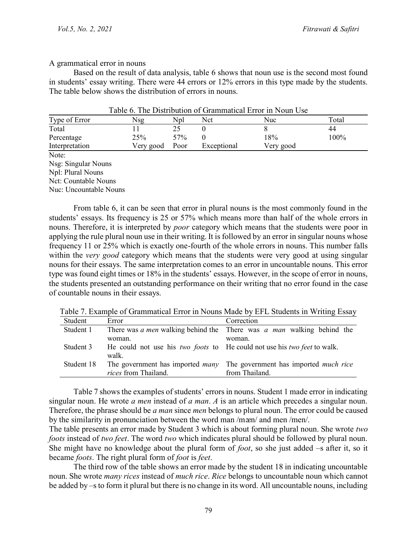#### A grammatical error in nouns

Based on the result of data analysis, table 6 shows that noun use is the second most found in students' essay writing. There were 44 errors or 12% errors in this type made by the students. The table below shows the distribution of errors in nouns.

|                    |           |      |             | TWOTY OF THE DIGHTOWHOM OF ORWINING DITCH IN FIGHT ODE |       |
|--------------------|-----------|------|-------------|--------------------------------------------------------|-------|
| Type of Error      | Nsg       | Npl  | Nct         | Nuc                                                    | Total |
| Total              |           |      |             |                                                        | 44    |
| Percentage         | 25%       | 57%  |             | 18%                                                    | 100%  |
| Interpretation     | Very good | Poor | Exceptional | Very good                                              |       |
| $N_{\alpha\alpha}$ |           |      |             |                                                        |       |

Table 6. The Distribution of Grammatical Error in Noun Use

Note: Nsg: Singular Nouns Npl: Plural Nouns Nct: Countable Nouns Nuc: Uncountable Nouns

From table 6, it can be seen that error in plural nouns is the most commonly found in the students' essays. Its frequency is 25 or 57% which means more than half of the whole errors in nouns. Therefore, it is interpreted by *poor* category which means that the students were poor in applying the rule plural noun use in their writing. It is followed by an error in singular nouns whose frequency 11 or 25% which is exactly one-fourth of the whole errors in nouns. This number falls within the *very good* category which means that the students were very good at using singular nouns for their essays. The same interpretation comes to an error in uncountable nouns. This error type was found eight times or 18% in the students' essays. However, in the scope of error in nouns, the students presented an outstanding performance on their writing that no error found in the case of countable nouns in their essays.

|                             | TWOLD 1. EXMITING OF ORIGINALIZED ELLOF IN FROMIN FREEDOM OF EXTENSIONS IN A FIREIGN POOR P |
|-----------------------------|---------------------------------------------------------------------------------------------|
| Error                       | Correction                                                                                  |
|                             | There was a men walking behind the There was a man walking behind the                       |
| woman.                      | woman.                                                                                      |
|                             | He could not use his <i>two foots</i> to He could not use his <i>two feet</i> to walk.      |
| walk.                       |                                                                                             |
|                             | The government has imported <i>many</i> The government has imported <i>much rice</i>        |
| <i>rices</i> from Thailand. | from Thailand.                                                                              |
|                             |                                                                                             |

Table 7. Example of Grammatical Error in Nouns Made by EFL Students in Writing Essay

Table 7 shows the examples of students' errors in nouns. Student 1 made error in indicating singular noun. He wrote *a men* instead of *a man*. *A* is an article which precedes a singular noun. Therefore, the phrase should be *a man* since *men* belongs to plural noun. The error could be caused by the similarity in pronunciation between the word man/man/ and men/men/.

The table presents an error made by Student 3 which is about forming plural noun. She wrote *two foots* instead of *two feet*. The word *two* which indicates plural should be followed by plural noun. She might have no knowledge about the plural form of *foot*, so she just added –s after it, so it became *foots*. The right plural form of *foot* is *feet*.

The third row of the table shows an error made by the student 18 in indicating uncountable noun. She wrote *many rices* instead of *much rice*. *Rice* belongs to uncountable noun which cannot be added by –s to form it plural but there is no change in its word. All uncountable nouns, including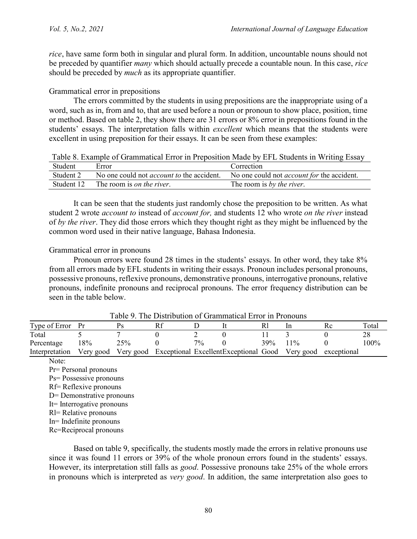*rice*, have same form both in singular and plural form. In addition, uncountable nouns should not be preceded by quantifier *many* which should actually precede a countable noun. In this case, *rice* should be preceded by *much* as its appropriate quantifier.

#### Grammatical error in prepositions

The errors committed by the students in using prepositions are the inappropriate using of a word, such as in, from and to, that are used before a noun or pronoun to show place, position, time or method. Based on table 2, they show there are 31 errors or 8% error in prepositions found in the students' essays. The interpretation falls within *excellent* which means that the students were excellent in using preposition for their essays. It can be seen from these examples:

Table 8. Example of Grammatical Error in Preposition Made by EFL Students in Writing Essay

| Student    | Error                                            | Correction                                        |
|------------|--------------------------------------------------|---------------------------------------------------|
| Student 2  | No one could not <i>account to</i> the accident. | No one could not <i>account for</i> the accident. |
| Student 12 | The room is <i>on the river</i>                  | The room is by the river.                         |

It can be seen that the students just randomly chose the preposition to be written. As what student 2 wrote *account to* instead of *account for,* and students 12 who wrote *on the river* instead of *by the river*. They did those errors which they thought right as they might be influenced by the common word used in their native language, Bahasa Indonesia.

#### Grammatical error in pronouns

Pronoun errors were found 28 times in the students' essays. In other word, they take  $8\%$ from all errors made by EFL students in writing their essays. Pronoun includes personal pronouns, possessive pronouns, reflexive pronouns, demonstrative pronouns, interrogative pronouns, relative pronouns, indefinite pronouns and reciprocal pronouns. The error frequency distribution can be seen in the table below.

|                |           |     |                 | 1 AVIV 7 . 1110 D'IVAIVANVII VI OIMIIIIMAIVAI LIIVI III I IVIIVAIN     |      |        |         |
|----------------|-----------|-----|-----------------|------------------------------------------------------------------------|------|--------|---------|
| Type of Error  |           |     |                 |                                                                        |      |        | Total   |
| Total          |           |     |                 |                                                                        |      |        |         |
| Percentage     | 18%       | 25% | 70 <sub>0</sub> |                                                                        | 39%. | $11\%$ | $100\%$ |
| Interpretation | Very good |     |                 | Very good Exceptional Excellent Exceptional Good Very good exceptional |      |        |         |

Table 9. The Distribution of Grammatical Error in Pronouns

Note:

Pr= Personal pronouns Ps= Possessive pronouns

Rf= Reflexive pronouns

D= Demonstrative pronouns

It= Interrogative pronouns Rl= Relative pronouns

In= Indefinite pronouns

Rc=Reciprocal pronouns

Based on table 9, specifically, the students mostly made the errors in relative pronouns use since it was found 11 errors or 39% of the whole pronoun errors found in the students' essays. However, its interpretation still falls as *good*. Possessive pronouns take 25% of the whole errors in pronouns which is interpreted as *very good*. In addition, the same interpretation also goes to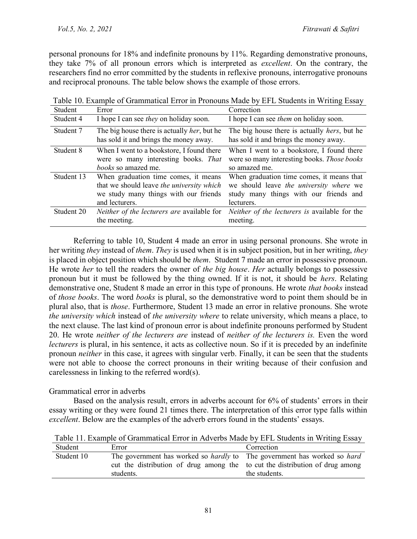personal pronouns for 18% and indefinite pronouns by 11%. Regarding demonstrative pronouns, they take 7% of all pronoun errors which is interpreted as *excellent*. On the contrary, the researchers find no error committed by the students in reflexive pronouns, interrogative pronouns and reciprocal pronouns. The table below shows the example of those errors.

| Student    | Error                                                                                         | Correction                                                                                     |
|------------|-----------------------------------------------------------------------------------------------|------------------------------------------------------------------------------------------------|
| Student 4  | I hope I can see <i>they</i> on holiday soon.                                                 | I hope I can see <i>them</i> on holiday soon.                                                  |
| Student 7  | The big house there is actually <i>her</i> , but he<br>has sold it and brings the money away. | The big house there is actually <i>hers</i> , but he<br>has sold it and brings the money away. |
|            |                                                                                               |                                                                                                |
| Student 8  | When I went to a bookstore, I found there                                                     | When I went to a bookstore, I found there                                                      |
|            | were so many interesting books. That                                                          | were so many interesting books. Those books                                                    |
|            | <i>books</i> so amazed me.                                                                    | so amazed me.                                                                                  |
| Student 13 | When graduation time comes, it means                                                          | When graduation time comes, it means that                                                      |
|            | that we should leave the university which                                                     | we should leave the university where we                                                        |
|            | we study many things with our friends                                                         | study many things with our friends and                                                         |
|            | and lecturers.                                                                                | lecturers.                                                                                     |
| Student 20 | <i>Neither of the lecturers are available for</i>                                             | Neither of the lecturers is available for the                                                  |
|            | the meeting.                                                                                  | meeting.                                                                                       |

|                                  |                  | Table 10. Example of Grammatical Error in Pronouns Made by EFL Students in Writing Essay |
|----------------------------------|------------------|------------------------------------------------------------------------------------------|
| $\mathcal{C}_{\mathbf{t}}$ udant | $E_{rr\alpha r}$ | Correction                                                                               |

Referring to table 10, Student 4 made an error in using personal pronouns. She wrote in her writing *they* instead of *them*. *They* is used when it is in subject position, but in her writing, *they* is placed in object position which should be *them*. Student 7 made an error in possessive pronoun. He wrote *her* to tell the readers the owner of *the big house*. *Her* actually belongs to possessive pronoun but it must be followed by the thing owned. If it is not, it should be *hers*. Relating demonstrative one, Student 8 made an error in this type of pronouns. He wrote *that books* instead of *those books*. The word *books* is plural, so the demonstrative word to point them should be in plural also, that is *those*. Furthermore, Student 13 made an error in relative pronouns. She wrote *the university which* instead of *the university where* to relate university, which means a place, to the next clause. The last kind of pronoun error is about indefinite pronouns performed by Student 20. He wrote *neither of the lecturers are* instead of *neither of the lecturers is.* Even the word *lecturers* is plural, in his sentence, it acts as collective noun. So if it is preceded by an indefinite pronoun *neither* in this case, it agrees with singular verb. Finally, it can be seen that the students were not able to choose the correct pronouns in their writing because of their confusion and carelessness in linking to the referred word(s).

## Grammatical error in adverbs

Based on the analysis result, errors in adverbs account for 6% of students' errors in their essay writing or they were found 21 times there. The interpretation of this error type falls within *excellent*. Below are the examples of the adverb errors found in the students' essays.

Table 11. Example of Grammatical Error in Adverbs Made by EFL Students in Writing Essay

| Student 10<br>The government has worked so <i>hardly</i> to The government has worked so <i>hard</i><br>cut the distribution of drug among the to cut the distribution of drug among<br>students.<br>the students. |  |
|--------------------------------------------------------------------------------------------------------------------------------------------------------------------------------------------------------------------|--|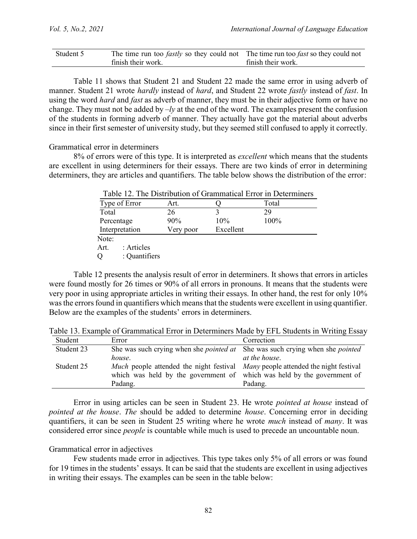| Student 5 | The time run too <i>fastly</i> so they could not The time run too <i>fast</i> so they could not |                    |
|-----------|-------------------------------------------------------------------------------------------------|--------------------|
|           | finish their work.                                                                              | finish their work. |

Table 11 shows that Student 21 and Student 22 made the same error in using adverb of manner. Student 21 wrote *hardly* instead of *hard*, and Student 22 wrote *fastly* instead of *fast*. In using the word *hard* and *fast* as adverb of manner, they must be in their adjective form or have no change. They must not be added by –*ly* at the end of the word. The examples present the confusion of the students in forming adverb of manner. They actually have got the material about adverbs since in their first semester of university study, but they seemed still confused to apply it correctly.

Grammatical error in determiners

8% of errors were of this type. It is interpreted as *excellent* which means that the students are excellent in using determiners for their essays. There are two kinds of error in determining determiners, they are articles and quantifiers. The table below shows the distribution of the error:

|                    |           |           | Table 12. The Distribution of Grammatical Error in Determiners |
|--------------------|-----------|-----------|----------------------------------------------------------------|
| Type of Error      | Art.      |           | Total                                                          |
| Total              | 26        |           | 29                                                             |
| Percentage         | 90%       | 10%       | 100%                                                           |
| Interpretation     | Very poor | Excellent |                                                                |
| Note:              |           |           |                                                                |
| Art.<br>: Articles |           |           |                                                                |
| : Quantifiers<br>Q |           |           |                                                                |

 $T$ 

Table 12 presents the analysis result of error in determiners. It shows that errors in articles were found mostly for 26 times or 90% of all errors in pronouns. It means that the students were very poor in using appropriate articles in writing their essays. In other hand, the rest for only 10% was the errors found in quantifiers which means that the students were excellent in using quantifier. Below are the examples of the students' errors in determiners.

| Student    | Error                                                                                         | Correction           |
|------------|-----------------------------------------------------------------------------------------------|----------------------|
| Student 23 | She was such crying when she <i>pointed at</i> She was such crying when she <i>pointed</i>    |                      |
|            | house.                                                                                        | <i>at the house.</i> |
| Student 25 | <i>Much</i> people attended the night festival <i>Many</i> people attended the night festival |                      |
|            | which was held by the government of which was held by the government of                       |                      |
|            | Padang.                                                                                       | Padang.              |

Table 13. Example of Grammatical Error in Determiners Made by EFL Students in Writing Essay

Error in using articles can be seen in Student 23. He wrote *pointed at house* instead of *pointed at the house*. *The* should be added to determine *house*. Concerning error in deciding quantifiers, it can be seen in Student 25 writing where he wrote *much* instead of *many*. It was considered error since *people* is countable while much is used to precede an uncountable noun.

#### Grammatical error in adjectives

Few students made error in adjectives. This type takes only 5% of all errors or was found for 19 times in the students' essays. It can be said that the students are excellent in using adjectives in writing their essays. The examples can be seen in the table below: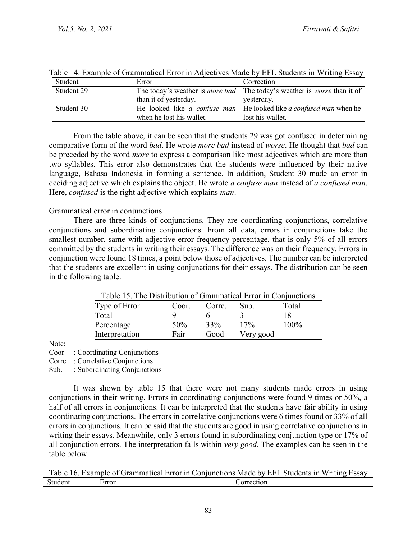| Student    | Error                    | Correction                                                                            |
|------------|--------------------------|---------------------------------------------------------------------------------------|
| Student 29 |                          | The today's weather is <i>more bad</i> The today's weather is <i>worse</i> than it of |
|            | than it of yesterday.    | yesterday.                                                                            |
| Student 30 |                          | He looked like a confuse man He looked like a confused man when he                    |
|            | when he lost his wallet. | lost his wallet.                                                                      |

Table 14. Example of Grammatical Error in Adjectives Made by EFL Students in Writing Essay

From the table above, it can be seen that the students 29 was got confused in determining comparative form of the word *bad*. He wrote *more bad* instead of *worse*. He thought that *bad* can be preceded by the word *more* to express a comparison like most adjectives which are more than two syllables. This error also demonstrates that the students were influenced by their native language, Bahasa Indonesia in forming a sentence. In addition, Student 30 made an error in deciding adjective which explains the object. He wrote *a confuse man* instead of *a confused man*. Here, *confused* is the right adjective which explains *man*.

#### Grammatical error in conjunctions

There are three kinds of conjunctions. They are coordinating conjunctions, correlative conjunctions and subordinating conjunctions. From all data, errors in conjunctions take the smallest number, same with adjective error frequency percentage, that is only 5% of all errors committed by the students in writing their essays. The difference was on their frequency. Errors in conjunction were found 18 times, a point below those of adjectives. The number can be interpreted that the students are excellent in using conjunctions for their essays. The distribution can be seen in the following table.

| Table 15. The Distribution of Grammatical Error in Conjunctions |        |        |           |       |  |
|-----------------------------------------------------------------|--------|--------|-----------|-------|--|
| Type of Error                                                   | Coor.  | Corre. | Sub.      | Total |  |
| Total                                                           |        |        |           | ıх    |  |
| Percentage                                                      | $50\%$ | 33%    | 17%       | 100%  |  |
| Interpretation                                                  | Fair   | Good   | Very good |       |  |

Table 15. The Distribution of Grammatical Error in Conjunctions

Note:

Coor : Coordinating Conjunctions

Corre : Correlative Conjunctions

Sub. : Subordinating Conjunctions

It was shown by table 15 that there were not many students made errors in using conjunctions in their writing. Errors in coordinating conjunctions were found 9 times or 50%, a half of all errors in conjunctions. It can be interpreted that the students have fair ability in using coordinating conjunctions. The errors in correlative conjunctions were 6 times found or 33% of all errors in conjunctions. It can be said that the students are good in using correlative conjunctions in writing their essays. Meanwhile, only 3 errors found in subordinating conjunction type or 17% of all conjunction errors. The interpretation falls within *very good*. The examples can be seen in the table below.

Table 16. Example of Grammatical Error in Conjunctions Made by EFL Students in Writing Essay Student Error Correction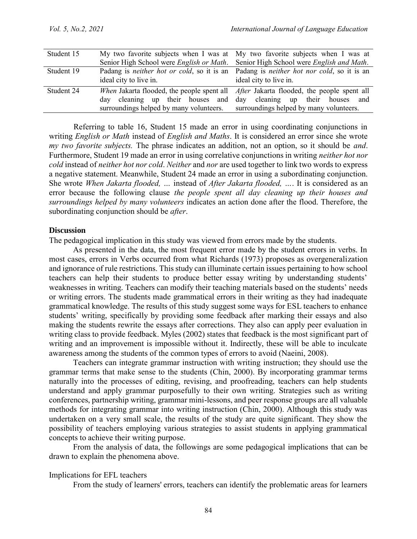| Student 15 |                                                                                                                        | My two favorite subjects when I was at My two favorite subjects when I was at                                                         |  |  |
|------------|------------------------------------------------------------------------------------------------------------------------|---------------------------------------------------------------------------------------------------------------------------------------|--|--|
|            |                                                                                                                        | Senior High School were <i>English or Math</i> . Senior High School were <i>English and Math</i> .                                    |  |  |
| Student 19 | ideal city to live in.                                                                                                 | Padang is <i>neither hot or cold</i> , so it is an Padang is <i>neither hot nor cold</i> , so it is an<br>ideal city to live in.      |  |  |
| Student 24 | cleaning up their houses and<br>dav<br>surroundings helped by many volunteers. surroundings helped by many volunteers. | When Jakarta flooded, the people spent all <i>After Jakarta flooded</i> , the people spent all<br>day cleaning up their houses<br>and |  |  |

Referring to table 16, Student 15 made an error in using coordinating conjunctions in writing *English or Math* instead of *English and Maths*. It is considered an error since she wrote *my two favorite subjects.* The phrase indicates an addition, not an option, so it should be *and*. Furthermore, Student 19 made an error in using correlative conjunctions in writing *neither hot nor cold* instead of *neither hot nor cold*. *Neither* and *nor* are used together to link two words to express a negative statement. Meanwhile, Student 24 made an error in using a subordinating conjunction. She wrote *When Jakarta flooded, …* instead of *After Jakarta flooded, …*. It is considered as an error because the following clause *the people spent all day cleaning up their houses and surroundings helped by many volunteers* indicates an action done after the flood. Therefore, the subordinating conjunction should be *after*.

#### **Discussion**

The pedagogical implication in this study was viewed from errors made by the students.

As presented in the data, the most frequent error made by the student errors in verbs. In most cases, errors in Verbs occurred from what Richards (1973) proposes as overgeneralization and ignorance of rule restrictions. This study can illuminate certain issues pertaining to how school teachers can help their students to produce better essay writing by understanding students' weaknesses in writing. Teachers can modify their teaching materials based on the students' needs or writing errors. The students made grammatical errors in their writing as they had inadequate grammatical knowledge. The results of this study suggest some ways for ESL teachers to enhance students' writing, specifically by providing some feedback after marking their essays and also making the students rewrite the essays after corrections. They also can apply peer evaluation in writing class to provide feedback. Myles (2002) states that feedback is the most significant part of writing and an improvement is impossible without it. Indirectly, these will be able to inculcate awareness among the students of the common types of errors to avoid (Naeini, 2008).

Teachers can integrate grammar instruction with writing instruction; they should use the grammar terms that make sense to the students (Chin, 2000). By incorporating grammar terms naturally into the processes of editing, revising, and proofreading, teachers can help students understand and apply grammar purposefully to their own writing. Strategies such as writing conferences, partnership writing, grammar mini-lessons, and peer response groups are all valuable methods for integrating grammar into writing instruction (Chin, 2000). Although this study was undertaken on a very small scale, the results of the study are quite significant. They show the possibility of teachers employing various strategies to assist students in applying grammatical concepts to achieve their writing purpose.

From the analysis of data, the followings are some pedagogical implications that can be drawn to explain the phenomena above.

#### Implications for EFL teachers

From the study of learners' errors, teachers can identify the problematic areas for learners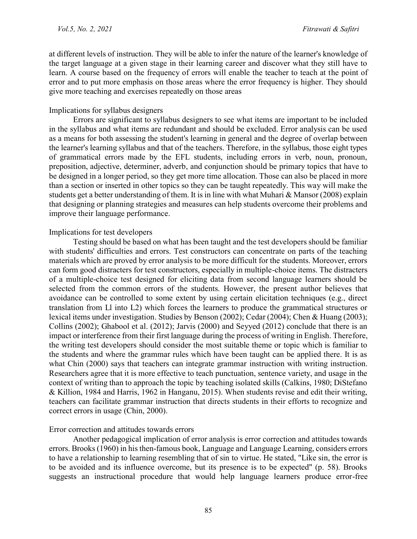at different levels of instruction. They will be able to infer the nature of the learner's knowledge of the target language at a given stage in their learning career and discover what they still have to learn. A course based on the frequency of errors will enable the teacher to teach at the point of error and to put more emphasis on those areas where the error frequency is higher. They should give more teaching and exercises repeatedly on those areas

#### Implications for syllabus designers

Errors are significant to syllabus designers to see what items are important to be included in the syllabus and what items are redundant and should be excluded. Error analysis can be used as a means for both assessing the student's learning in general and the degree of overlap between the learner's learning syllabus and that of the teachers. Therefore, in the syllabus, those eight types of grammatical errors made by the EFL students, including errors in verb, noun, pronoun, preposition, adjective, determiner, adverb, and conjunction should be primary topics that have to be designed in a longer period, so they get more time allocation. Those can also be placed in more than a section or inserted in other topics so they can be taught repeatedly. This way will make the students get a better understanding of them. It is in line with what Muhari & Mansor (2008) explain that designing or planning strategies and measures can help students overcome their problems and improve their language performance.

#### Implications for test developers

Testing should be based on what has been taught and the test developers should be familiar with students' difficulties and errors. Test constructors can concentrate on parts of the teaching materials which are proved by error analysis to be more difficult for the students. Moreover, errors can form good distracters for test constructors, especially in multiple-choice items. The distracters of a multiple-choice test designed for eliciting data from second language learners should be selected from the common errors of the students. However, the present author believes that avoidance can be controlled to some extent by using certain elicitation techniques (e.g., direct translation from Ll into L2) which forces the learners to produce the grammatical structures or lexical items under investigation. Studies by Benson (2002); Cedar (2004); Chen & Huang (2003); Collins (2002); Ghabool et al. (2012); Jarvis (2000) and Seyyed (2012) conclude that there is an impact or interference from their first language during the process of writing in English. Therefore, the writing test developers should consider the most suitable theme or topic which is familiar to the students and where the grammar rules which have been taught can be applied there. It is as what Chin (2000) says that teachers can integrate grammar instruction with writing instruction. Researchers agree that it is more effective to teach punctuation, sentence variety, and usage in the context of writing than to approach the topic by teaching isolated skills (Calkins, 1980; DiStefano & Killion, 1984 and Harris, 1962 in Hanganu, 2015). When students revise and edit their writing, teachers can facilitate grammar instruction that directs students in their efforts to recognize and correct errors in usage (Chin, 2000).

#### Error correction and attitudes towards errors

Another pedagogical implication of error analysis is error correction and attitudes towards errors. Brooks (1960) in his then-famous book, Language and Language Learning, considers errors to have a relationship to learning resembling that of sin to virtue. He stated, "Like sin, the error is to be avoided and its influence overcome, but its presence is to be expected" (p. 58). Brooks suggests an instructional procedure that would help language learners produce error-free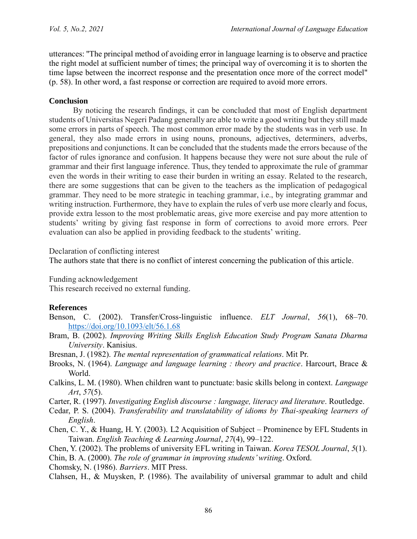utterances: "The principal method of avoiding error in language learning is to observe and practice the right model at sufficient number of times; the principal way of overcoming it is to shorten the time lapse between the incorrect response and the presentation once more of the correct model" (p. 58). In other word, a fast response or correction are required to avoid more errors.

### **Conclusion**

By noticing the research findings, it can be concluded that most of English department students of Universitas Negeri Padang generally are able to write a good writing but they still made some errors in parts of speech. The most common error made by the students was in verb use. In general, they also made errors in using nouns, pronouns, adjectives, determiners, adverbs, prepositions and conjunctions. It can be concluded that the students made the errors because of the factor of rules ignorance and confusion. It happens because they were not sure about the rule of grammar and their first language inference. Thus, they tended to approximate the rule of grammar even the words in their writing to ease their burden in writing an essay. Related to the research, there are some suggestions that can be given to the teachers as the implication of pedagogical grammar. They need to be more strategic in teaching grammar, i.e., by integrating grammar and writing instruction. Furthermore, they have to explain the rules of verb use more clearly and focus, provide extra lesson to the most problematic areas, give more exercise and pay more attention to students' writing by giving fast response in form of corrections to avoid more errors. Peer evaluation can also be applied in providing feedback to the students' writing.

Declaration of conflicting interest

The authors state that there is no conflict of interest concerning the publication of this article.

Funding acknowledgement

This research received no external funding.

## **References**

- Benson, C. (2002). Transfer/Cross-linguistic influence. *ELT Journal*, *56*(1), 68–70. <https://doi.org/10.1093/elt/56.1.68>
- Bram, B. (2002). *Improving Writing Skills English Education Study Program Sanata Dharma University*. Kanisius.
- Bresnan, J. (1982). *The mental representation of grammatical relations*. Mit Pr.
- Brooks, N. (1964). *Language and language learning : theory and practice*. Harcourt, Brace & World.
- Calkins, L. M. (1980). When children want to punctuate: basic skills belong in context. *Language Art*, *57*(5).
- Carter, R. (1997). *Investigating English discourse : language, literacy and literature*. Routledge.
- Cedar, P. S. (2004). *Transferability and translatability of idioms by Thai-speaking learners of English*.
- Chen, C. Y., & Huang, H. Y. (2003). L2 Acquisition of Subject Prominence by EFL Students in Taiwan. *English Teaching & Learning Journal*, *27*(4), 99–122.
- Chen, Y. (2002). The problems of university EFL writing in Taiwan. *Korea TESOL Journal*, *5*(1).
- Chin, B. A. (2000). *The role of grammar in improving students' writing*. Oxford.

Chomsky, N. (1986). *Barriers*. MIT Press.

Clahsen, H., & Muysken, P. (1986). The availability of universal grammar to adult and child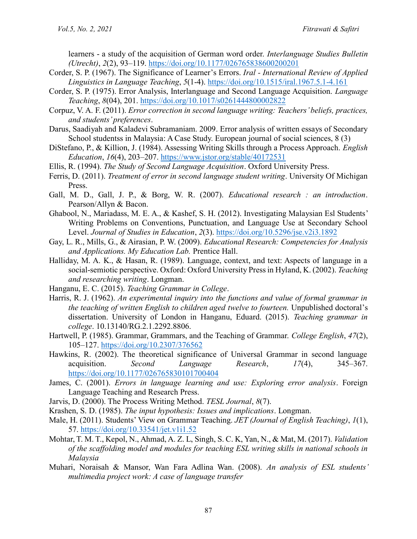learners - a study of the acquisition of German word order. *Interlanguage Studies Bulletin (Utrecht)*, *2*(2), 93–119.<https://doi.org/10.1177/026765838600200201>

- Corder, S. P. (1967). The Significance of Learner's Errors. *Iral - International Review of Applied Linguistics in Language Teaching*, *5*(1-4).<https://doi.org/10.1515/iral.1967.5.1-4.161>
- Corder, S. P. (1975). Error Analysis, Interlanguage and Second Language Acquisition. *Language Teaching*, *8*(04), 201.<https://doi.org/10.1017/s0261444800002822>
- Corpuz, V. A. F. (2011). *Error correction in second language writing: Teachers' beliefs, practices, and students' preferences*.
- Darus, Saadiyah and Kaladevi Subramaniam. 2009. Error analysis of written essays of Secondary School studentss in Malaysia: A Case Study. European journal of social sciences, 8 (3)
- DiStefano, P., & Killion, J. (1984). Assessing Writing Skills through a Process Approach. *English Education*, *16*(4), 203–207[. https://www.jstor.org/stable/40172531](https://www.jstor.org/stable/40172531)
- Ellis, R. (1994). *The Study of Second Language Acquisition*. Oxford University Press.
- Ferris, D. (2011). *Treatment of error in second language student writing*. University Of Michigan Press.
- Gall, M. D., Gall, J. P., & Borg, W. R. (2007). *Educational research : an introduction*. Pearson/Allyn & Bacon.
- Ghabool, N., Mariadass, M. E. A., & Kashef, S. H. (2012). Investigating Malaysian Esl Students' Writing Problems on Conventions, Punctuation, and Language Use at Secondary School Level. *Journal of Studies in Education*, *2*(3).<https://doi.org/10.5296/jse.v2i3.1892>
- Gay, L. R., Mills, G., & Airasian, P. W. (2009). *Educational Research: Competencies for Analysis and Applications. My Education Lab.* Prentice Hall.
- Halliday, M. A. K., & Hasan, R. (1989). Language, context, and text: Aspects of language in a social-semiotic perspective. Oxford: Oxford University Press in Hyland, K. (2002). *Teaching and researching writing*. Longman.
- Hanganu, E. C. (2015). *Teaching Grammar in College*.
- Harris, R. J. (1962). *An experimental inquiry into the functions and value of formal grammar in the teaching of written English to children aged twelve to fourteen.* Unpublished doctoral's dissertation. University of London in Hanganu, Eduard. (2015). *Teaching grammar in college*. 10.13140/RG.2.1.2292.8806.
- Hartwell, P. (1985). Grammar, Grammars, and the Teaching of Grammar. *College English*, *47*(2), 105–127.<https://doi.org/10.2307/376562>
- Hawkins, R. (2002). The theoretical significance of Universal Grammar in second language acquisition. *Second Language Research*, *17*(4), 345–367. <https://doi.org/10.1177/026765830101700404>
- James, C. (2001). *Errors in language learning and use: Exploring error analysis*. Foreign Language Teaching and Research Press.
- Jarvis, D. (2000). The Process Writing Method. *TESL Journal*, *8*(7).
- Krashen, S. D. (1985). *The input hypothesis: Issues and implications*. Longman.
- Male, H. (2011). Students' View on Grammar Teaching. *JET (Journal of English Teaching)*, *1*(1), 57.<https://doi.org/10.33541/jet.v1i1.52>
- Mohtar, T. M. T., Kepol, N., Ahmad, A. Z. L, Singh, S. C. K, Yan, N., & Mat, M. (2017). *Validation of the scaffolding model and modules for teaching ESL writing skills in national schools in Malaysia*
- Muhari, Noraisah & Mansor, Wan Fara Adlina Wan. (2008). *An analysis of ESL students' multimedia project work: A case of language transfer*